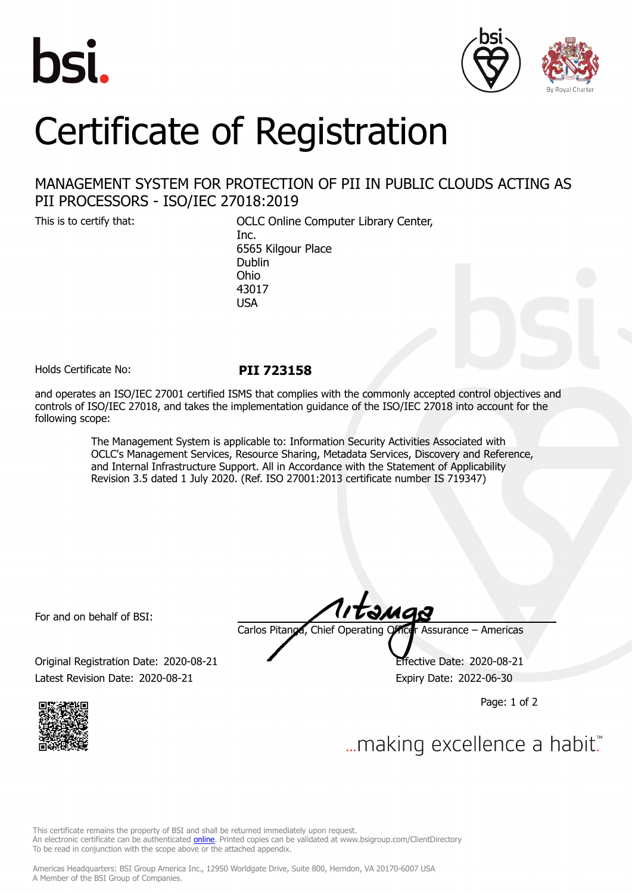



## Certificate of Registration

## MANAGEMENT SYSTEM FOR PROTECTION OF PII IN PUBLIC CLOUDS ACTING AS PII PROCESSORS - ISO/IEC 27018:2019

This is to certify that: OCLC Online Computer Library Center, Inc. 6565 Kilgour Place Dublin Ohio 43017 USA

Holds Certificate No: **PII 723158**

and operates an ISO/IEC 27001 certified ISMS that complies with the commonly accepted control objectives and controls of ISO/IEC 27018, and takes the implementation guidance of the ISO/IEC 27018 into account for the following scope:

> The Management System is applicable to: Information Security Activities Associated with OCLC's Management Services, Resource Sharing, Metadata Services, Discovery and Reference, and Internal Infrastructure Support. All in Accordance with the Statement of Applicability Revision 3.5 dated 1 July 2020. (Ref. ISO 27001:2013 certificate number IS 719347)

For and on behalf of BSI:

tange Carlos Pitanga, Chief Operating Officer Assurance – Americas

Original Registration Date: 2020-08-21 Effective Date: 2020-08-21 Latest Revision Date: 2020-08-21 Expiry Date: 2022-06-30

Page: 1 of 2



... making excellence a habit."

This certificate remains the property of BSI and shall be returned immediately upon request. An electronic certificate can be authenticated *[online](https://pgplus.bsigroup.com/CertificateValidation/CertificateValidator.aspx?CertificateNumber=PII+723158&ReIssueDate=21%2f08%2f2020&Template=inc)*. Printed copies can be validated at www.bsigroup.com/ClientDirectory To be read in conjunction with the scope above or the attached appendix.

Americas Headquarters: BSI Group America Inc., 12950 Worldgate Drive, Suite 800, Herndon, VA 20170-6007 USA A Member of the BSI Group of Companies.